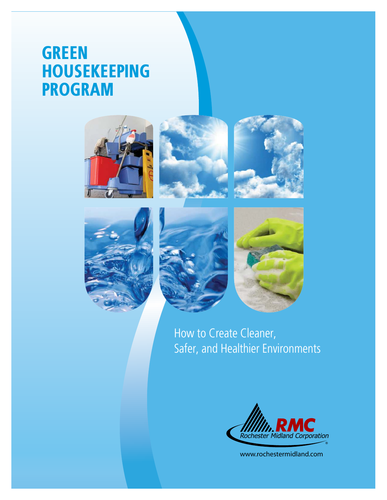# **GREEN HOUSEKEEPING PROGRAM**













How to Create Cleaner, Safer, and Healthier Environments



www.rochestermidland.com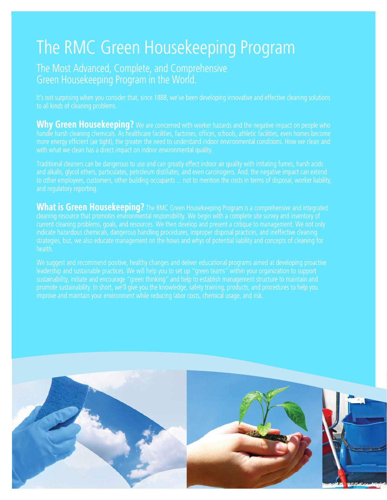# The RMC Green Housekeeping Program

## The Most Advanced, Complete, and Comprehensive Green Housekeeping Program in the World.

It's not surprising when you consider that, since 1888, we've been developing innovative and effective cleaning solutions to all kinds of cleaning problems.

**Why Green Housekeeping?** We are concerned with worker hazards and the negative impact on people who handle harsh cleaning chemicals. As healthcare facilities, factories, offices, schools, athletic facilities, even homes become more energy efficient (air tight), the greater the need to understand indoor environmental conditions. How we clean and

Traditional cleaners can be dangerous to use and can greatly effect indoor air quality with irritating fumes, harsh acids and alkalis, glycol ethers, particulates, petroleum distillates, and even carcinogens. And, the negative impact can extend and regulatory reporting.

**What is Green Housekeeping?** The RMC Green Housekeeping Program is a comprehensive and integrated cleaning resource that promotes environmental responsibility. We begin with a complete site survey and inventory of current cleaning problems, goals, and resources. We then develop and present a critique to management. We not only strategies, but, we also educate management on the hows and whys of potential liability and concepts of cleaning for health.

We suggest and recommend positive, healthy changes and deliver educational programs aimed at developing proactive leadership and sustainable practices. We will help you to set up "green teams" within your organization to support improve and maintain your environment while reducing labor costs, chemical usage, and risk.

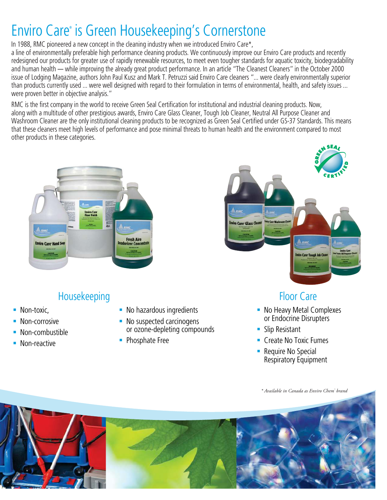# Enviro Care® is Green Housekeeping's Cornerstone

In 1988, RMC pioneered a new concept in the cleaning industry when we introduced Enviro Care\*,

a line of environmentally preferable high performance cleaning products. We continuously improve our Enviro Care products and recently redesigned our products for greater use of rapidly renewable resources, to meet even tougher standards for aquatic toxicity, biodegradability and human health — while improving the already great product performance. In an article "The Cleanest Cleaners" in the October 2000 issue of Lodging Magazine, authors John Paul Kusz and Mark T. Petruzzi said Enviro Care cleaners "... were clearly environmentally superior than products currently used ... were well designed with regard to their formulation in terms of environmental, health, and safety issues ... were proven better in objective analysis."

RMC is the first company in the world to receive Green Seal Certification for institutional and industrial cleaning products. Now, along with a multitude of other prestigious awards, Enviro Care Glass Cleaner, Tough Job Cleaner, Neutral All Purpose Cleaner and Washroom Cleaner are the only institutional cleaning products to be recognized as Green Seal Certified under GS-37 Standards. This means that these cleaners meet high levels of performance and pose minimal threats to human health and the environment compared to most other products in these categories.



# Housekeeping Floor Care

- . Non-toxic
- Non-corrosive
- Non-combustible
- **Non-reactive**
- No hazardous ingredients
- No suspected carcinogens or ozone-depleting compounds
- Phosphate Free



- **. No Heavy Metal Complexes** or Endocrine Disrupters
- **Slip Resistant**
- **-** Create No Toxic Fumes
- **Require No Special** Respiratory Equipment

 *\* Available in Canada as Enviro Chem® brand*